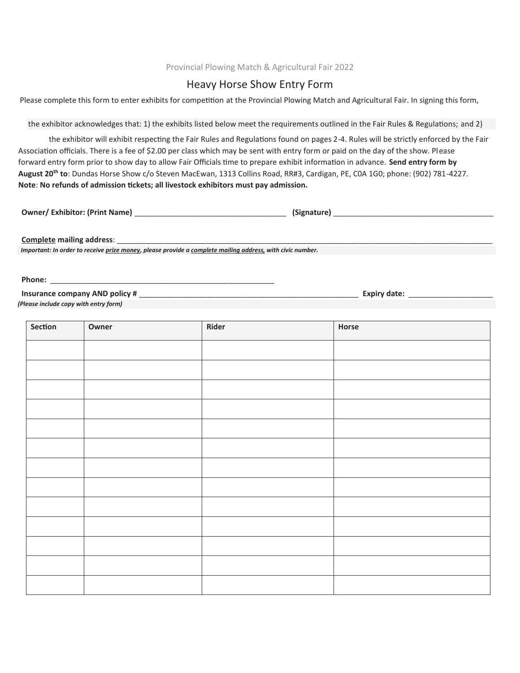## Provincial Plowing Match & Agricultural Fair 2022

## Heavy Horse Show Entry Form

Please complete this form to enter exhibits for competition at the Provincial Plowing Match and Agricultural Fair. In signing this form,

the exhibitor acknowledges that: 1) the exhibits listed below meet the requirements outlined in the Fair Rules & Regulations; and 2)

the exhibitor will exhibit respecting the Fair Rules and Regulations found on pages 2-4. Rules will be strictly enforced by the Fair Association officials. There is a fee of \$2.00 per class which may be sent with entry form or paid on the day of the show. Please forward entry form prior to show day to allow Fair Officials time to prepare exhibit information in advance. Send entry form by **August 20th to**: Dundas Horse Show c/o Steven MacEwan, 1313 Collins Road, RR#3, Cardigan, PE, C0A 1G0; phone: (902) 781-4227. **Note**: **No refunds of admission �ckets; all livestock exhibitors must pay admission.**

**Owner/ Exhibitor: (Print Name)** \_\_\_\_\_\_\_\_\_\_\_\_\_\_\_\_\_\_\_\_\_\_\_\_\_\_\_\_\_\_\_\_\_\_\_\_ **(Signature)** \_\_\_\_\_\_\_\_\_\_\_\_\_\_\_\_\_\_\_\_\_\_\_\_\_\_\_\_\_\_\_\_\_\_\_\_\_\_

**Complete** mailing address:

*Important: In order to receive prize money, please provide a complete mailing address, with civic number.*

Phone:

**Insurance company AND policy #** \_\_\_\_\_\_\_\_\_\_\_\_\_\_\_\_\_\_\_\_\_\_\_\_\_\_\_\_\_\_\_\_\_\_\_\_\_\_\_\_\_\_\_\_\_\_\_\_\_\_\_\_ **Expiry date:** \_\_\_\_\_\_\_\_\_\_\_\_\_\_\_\_\_\_\_\_ *(Please include copy with entry form)*

| Section | Owner | Rider | Horse |
|---------|-------|-------|-------|
|         |       |       |       |
|         |       |       |       |
|         |       |       |       |
|         |       |       |       |
|         |       |       |       |
|         |       |       |       |
|         |       |       |       |
|         |       |       |       |
|         |       |       |       |
|         |       |       |       |
|         |       |       |       |
|         |       |       |       |
|         |       |       |       |